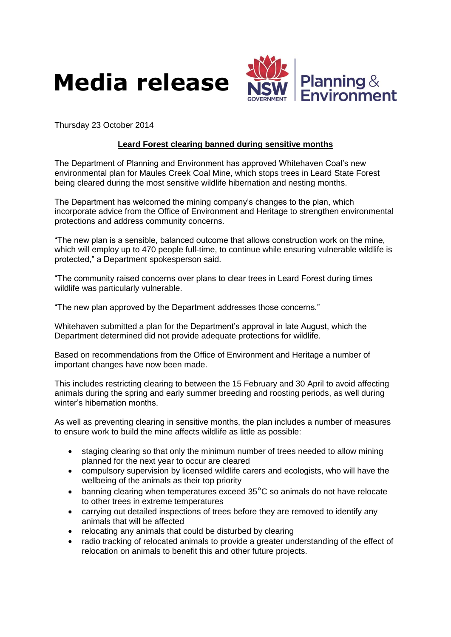



Thursday 23 October 2014

## **Leard Forest clearing banned during sensitive months**

The Department of Planning and Environment has approved Whitehaven Coal's new environmental plan for Maules Creek Coal Mine, which stops trees in Leard State Forest being cleared during the most sensitive wildlife hibernation and nesting months.

The Department has welcomed the mining company's changes to the plan, which incorporate advice from the Office of Environment and Heritage to strengthen environmental protections and address community concerns.

"The new plan is a sensible, balanced outcome that allows construction work on the mine, which will employ up to 470 people full-time, to continue while ensuring vulnerable wildlife is protected," a Department spokesperson said.

"The community raised concerns over plans to clear trees in Leard Forest during times wildlife was particularly vulnerable.

"The new plan approved by the Department addresses those concerns."

Whitehaven submitted a plan for the Department's approval in late August, which the Department determined did not provide adequate protections for wildlife.

Based on recommendations from the Office of Environment and Heritage a number of important changes have now been made.

This includes restricting clearing to between the 15 February and 30 April to avoid affecting animals during the spring and early summer breeding and roosting periods, as well during winter's hibernation months.

As well as preventing clearing in sensitive months, the plan includes a number of measures to ensure work to build the mine affects wildlife as little as possible:

- staging clearing so that only the minimum number of trees needed to allow mining planned for the next year to occur are cleared
- compulsory supervision by licensed wildlife carers and ecologists, who will have the wellbeing of the animals as their top priority
- banning clearing when temperatures exceed 35°C so animals do not have relocate to other trees in extreme temperatures
- carrying out detailed inspections of trees before they are removed to identify any animals that will be affected
- relocating any animals that could be disturbed by clearing
- radio tracking of relocated animals to provide a greater understanding of the effect of relocation on animals to benefit this and other future projects.